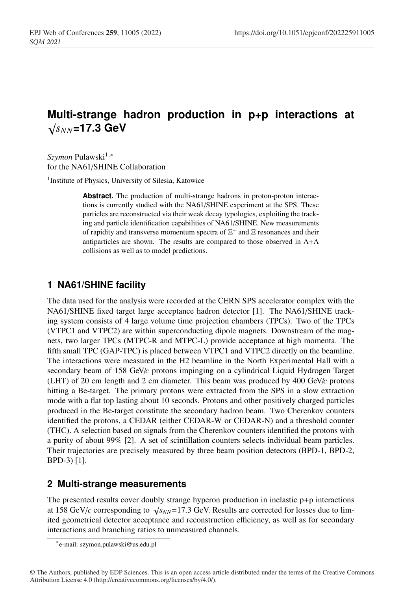# **Multi-strange hadron production in p+p interactions at**  $\sqrt{s_{NN}}$ =17.3 GeV

*Szymon* Pulawski<sup>1,∗</sup> for the NA61/SHINE Collaboration

<sup>1</sup>Institute of Physics, University of Silesia, Katowice

**Abstract.** The production of multi-strange hadrons in proton-proton interactions is currently studied with the NA61/SHINE experiment at the SPS. These particles are reconstructed via their weak decay typologies, exploiting the tracking and particle identification capabilities of NA61/SHINE. New measurements of rapidity and transverse momentum spectra of Ξ<sup>−</sup> and Ξ resonances and their antiparticles are shown. The results are compared to those observed in A+A collisions as well as to model predictions.

# **1 NA61/SHINE facility**

The data used for the analysis were recorded at the CERN SPS accelerator complex with the NA61/SHINE fixed target large acceptance hadron detector [1]. The NA61/SHINE tracking system consists of 4 large volume time projection chambers (TPCs). Two of the TPCs (VTPC1 and VTPC2) are within superconducting dipole magnets. Downstream of the magnets, two larger TPCs (MTPC-R and MTPC-L) provide acceptance at high momenta. The fifth small TPC (GAP-TPC) is placed between VTPC1 and VTPC2 directly on the beamline. The interactions were measured in the H2 beamline in the North Experimental Hall with a secondary beam of 158 GeV/*c* protons impinging on a cylindrical Liquid Hydrogen Target (LHT) of 20 cm length and 2 cm diameter. This beam was produced by 400 GeV/*c* protons hitting a Be-target. The primary protons were extracted from the SPS in a slow extraction mode with a flat top lasting about 10 seconds. Protons and other positively charged particles produced in the Be-target constitute the secondary hadron beam. Two Cherenkov counters identified the protons, a CEDAR (either CEDAR-W or CEDAR-N) and a threshold counter (THC). A selection based on signals from the Cherenkov counters identified the protons with a purity of about 99% [2]. A set of scintillation counters selects individual beam particles. Their trajectories are precisely measured by three beam position detectors (BPD-1, BPD-2, BPD-3) [1].

### **2 Multi-strange measurements**

The presented results cover doubly strange hyperon production in inelastic  $p+p$  interactions at 158 GeV/*c* corresponding to  $\sqrt{s_{NN}}$ =17.3 GeV. Results are corrected for losses due to limited geometrical detector acceptance and reconstruction efficiency, as well as for secondary interactions and branching ratios to unmeasured channels.

<sup>∗</sup>e-mail: szymon.pulawski@us.edu.pl

<sup>©</sup> The Authors, published by EDP Sciences. This is an open access article distributed under the terms of the Creative Commons Attribution License 4.0 (http://creativecommons.org/licenses/by/4.0/).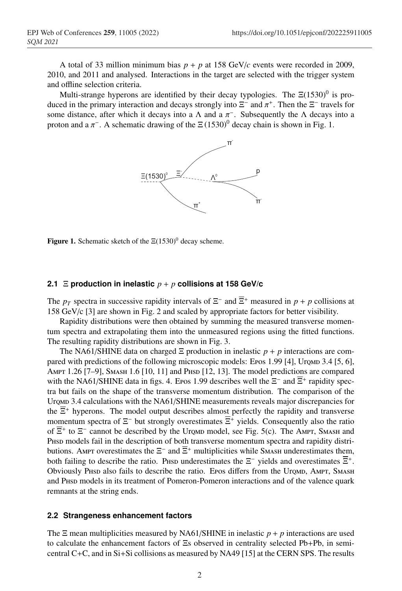A total of 33 million minimum bias  $p + p$  at 158 GeV/*c* events were recorded in 2009, 2010, and 2011 and analysed. Interactions in the target are selected with the trigger system and offline selection criteria.

Multi-strange hyperons are identified by their decay typologies. The  $\Xi(1530)^0$  is produced in the primary interaction and decays strongly into  $\Xi^-$  and  $\pi^+$ . Then the  $\Xi^-$  travels for some distance, after which it decays into a  $\Lambda$  and a  $\pi$ <sup>-</sup>. Subsequently the  $\Lambda$  decays into a proton and a  $\pi^-$ . A schematic drawing of the  $\Xi(1530)^0$  decay chain is shown in Fig. 1.



Figure 1. Schematic sketch of the  $\Xi(1530)^{0}$  decay scheme.

#### **2.1** Ξ **production in inelastic** *p* + *p* **collisions at 158 GeV/c**

The  $p_T$  spectra in successive rapidity intervals of  $\Xi^-$  and  $\overline{\Xi}^+$  measured in  $p + p$  collisions at 158 GeV/c [3] are shown in Fig. 2 and scaled by appropriate factors for better visibility.

Rapidity distributions were then obtained by summing the measured transverse momentum spectra and extrapolating them into the unmeasured regions using the fitted functions. The resulting rapidity distributions are shown in Fig. 3.

The NA61/SHINE data on charged  $\Xi$  production in inelastic  $p + p$  interactions are compared with predictions of the following microscopic models: Epos 1.99 [4], Uromp 3.4 [5, 6], AMPT 1.26 [7-9], SMASH 1.6 [10, 11] and PHSD [12, 13]. The model predictions are compared with the NA61/SHINE data in figs. 4. Epos 1.99 describes well the  $\Xi^-$  and  $\overline{\Xi}^+$  rapidity spectra but fails on the shape of the transverse momentum distribution. The comparison of the Uromd 3.4 calculations with the NA61/SHINE measurements reveals major discrepancies for the  $\overline{\Xi}^+$  hyperons. The model output describes almost perfectly the rapidity and transverse momentum spectra of  $\Xi^-$  but strongly overestimates  $\overline{\Xi}^+$  yields. Consequently also the ratio of  $\overline{\Xi}^+$  to  $\Xi^-$  cannot be described by the Uromp model, see Fig. 5(c). The Ampt, Smash and Phase models fail in the description of both transverse momentum spectra and rapidity distributions. Ampt overestimates the  $\Xi^-$  and  $\overline{\Xi}^+$  multiplicities while SMASH underestimates them, both failing to describe the ratio. Phsp underestimates the  $\Xi^-$  yields and overestimates  $\overline{\Xi}^+$ . Obviously Phsp also fails to describe the ratio. Epos differs from the Urqmp, AMPT, SMASH and PHSD models in its treatment of Pomeron-Pomeron interactions and of the valence quark remnants at the string ends.

#### **2.2 Strangeness enhancement factors**

The  $\Xi$  mean multiplicities measured by NA61/SHINE in inelastic  $p + p$  interactions are used to calculate the enhancement factors of Ξs observed in centrality selected Pb+Pb, in semicentral C+C, and in Si+Si collisions as measured by NA49 [15] at the CERN SPS. The results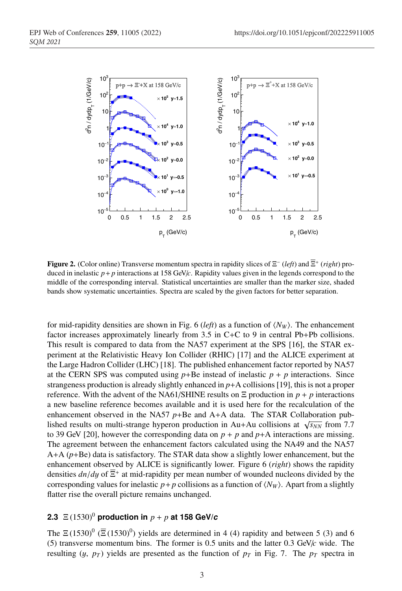

Figure 2. (Color online) Transverse momentum spectra in rapidity slices of Ξ<sup>−</sup> (*left*) and Ξ+ (*right*) produced in inelastic  $p+p$  interactions at 158 GeV/ $c$ . Rapidity values given in the legends correspond to the middle of the corresponding interval. Statistical uncertainties are smaller than the marker size, shaded bands show systematic uncertainties. Spectra are scaled by the given factors for better separation.

for mid-rapidity densities are shown in Fig. 6 (*left*) as a function of  $\langle N_W \rangle$ . The enhancement factor increases approximately linearly from 3.5 in C+C to 9 in central Pb+Pb collisions. This result is compared to data from the NA57 experiment at the SPS [16], the STAR experiment at the Relativistic Heavy Ion Collider (RHIC) [17] and the ALICE experiment at the Large Hadron Collider (LHC) [18]. The published enhancement factor reported by NA57 at the CERN SPS was computed using  $p + Be$  instead of inelastic  $p + p$  interactions. Since strangeness production is already slightly enhanced in *p*+A collisions [19], this is not a proper reference. With the advent of the NA61/SHINE results on  $\Xi$  production in  $p + p$  interactions a new baseline reference becomes available and it is used here for the recalculation of the enhancement observed in the NA57  $p$ +Be and A+A data. The STAR Collaboration published results on multi-strange hyperon production in Au+Au collisions at  $\sqrt{s_{NN}}$  from 7.7 to 39 GeV [20], however the corresponding data on  $p + p$  and  $p+A$  interactions are missing. The agreement between the enhancement factors calculated using the NA49 and the NA57 A+A (*p*+Be) data is satisfactory. The STAR data show a slightly lower enhancement, but the enhancement observed by ALICE is significantly lower. Figure 6 (*right*) shows the rapidity densities  $dn/dy$  of  $\overline{\Xi}^+$  at mid-rapidity per mean number of wounded nucleons divided by the corresponding values for inelastic  $p + p$  collisions as a function of  $\langle N_W \rangle$ . Apart from a slightly flatter rise the overall picture remains unchanged.

### **2.3** Ξ (1530) <sup>0</sup> **production in** *p* + *p* **at 158 GeV/***c*

The  $\Xi(1530)^{0}$  ( $\overline{\Xi}(1530)^{0}$ ) yields are determined in 4 (4) rapidity and between 5 (3) and 6 (5) transverse momentum bins. The former is 0.5 units and the latter 0.3 GeV/*c* wide. The resulting  $(y, p_T)$  yields are presented as the function of  $p_T$  in Fig. 7. The  $p_T$  spectra in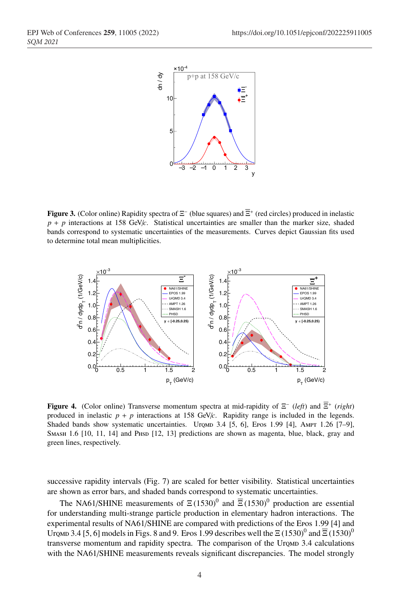

**Figure 3.** (Color online) Rapidity spectra of  $\Xi^-$  (blue squares) and  $\overline{\Xi}^+$  (red circles) produced in inelastic  $p + p$  interactions at 158 GeV/*c*. Statistical uncertainties are smaller than the marker size, shaded bands correspond to systematic uncertainties of the measurements. Curves depict Gaussian fits used to determine total mean multiplicities.



Figure 4. (Color online) Transverse momentum spectra at mid-rapidity of Ξ<sup>−</sup> (*left*) and Ξ+ (*right*) produced in inelastic  $p + p$  interactions at 158 GeV/*c*. Rapidity range is included in the legends. Shaded bands show systematic uncertainties. Uromp  $3.4$  [5, 6], Epos 1.99 [4], Ampt 1.26 [7–9], SMASH 1.6 [10, 11, 14] and PHSD [12, 13] predictions are shown as magenta, blue, black, gray and green lines, respectively.

successive rapidity intervals (Fig. 7) are scaled for better visibility. Statistical uncertainties are shown as error bars, and shaded bands correspond to systematic uncertainties.

The NA61/SHINE measurements of  $\Xi(1530)^{0}$  and  $\overline{\Xi}(1530)^{0}$  production are essential for understanding multi-strange particle production in elementary hadron interactions. The experimental results of NA61/SHINE are compared with predictions of the Epos 1.99 [4] and Uromd 3.4 [5, 6] models in Figs. 8 and 9. Epos 1.99 describes well the  $\Xi$  (1530)<sup>0</sup> and  $\overline{\Xi}$  (1530)<sup>0</sup> transverse momentum and rapidity spectra. The comparison of the Uromp 3.4 calculations with the NA61/SHINE measurements reveals significant discrepancies. The model strongly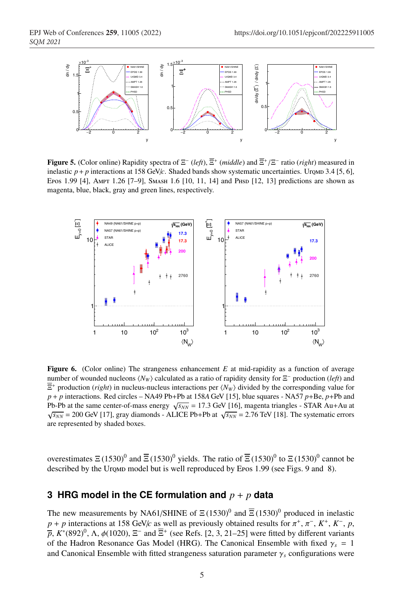

Figure 5. (Color online) Rapidity spectra of Ξ<sup>−</sup> (*left*), Ξ<sup>+</sup> (*middle*) and Ξ+/Ξ<sup>−</sup> ratio (*right*) measured in inelastic  $p + p$  interactions at 158 GeV/*c*. Shaded bands show systematic uncertainties. Urown 3.4 [5, 6], Epos 1.99 [4], Ampt 1.26 [7–9], Smash 1.6 [10, 11, 14] and Phsp [12, 13] predictions are shown as magenta, blue, black, gray and green lines, respectively.



Figure 6. (Color online) The strangeness enhancement *E* at mid-rapidity as a function of average number of wounded nucleons *(N<sub>W</sub>*) calculated as a ratio of rapidity density for Ξ<sup>−</sup> production (*left*) and  $\Xi^+$  production (*right*) in nucleus-nucleus interactions per  $\langle N_W \rangle$  divided by the corresponding value for *p* + *p* interactions. Red circles – NA49 Pb+Pb at 158*A* GeV [15], blue squares - NA57 *p*+Be, *p*+Pb and Pb-Pb at the same center-of-mass energy  $\sqrt{s_{NN}}$  = 17.3 GeV [16], magenta triangles - STAR Au+Au at  $\sqrt{s_{NN}}$  = 200 GeV [17], gray diamonds - ALICE Pb+Pb at  $\sqrt{s_{NN}}$  = 2.76 TeV [18]. The systematic errors are represented by shaded boxes.

overestimates  $\Xi$  (1530)<sup>0</sup> and  $\overline{\Xi}$  (1530)<sup>0</sup> yields. The ratio of  $\overline{\Xi}$  (1530)<sup>0</sup> to  $\Xi$  (1530)<sup>0</sup> cannot be described by the Uromp model but is well reproduced by Epos 1.99 (see Figs. 9 and 8).

# **3 HRG model in the CE formulation and** *p* + *p* **data**

The new measurements by NA61/SHINE of  $\Xi(1530)^{0}$  and  $\overline{\Xi}(1530)^{0}$  produced in inelastic  $p + p$  interactions at 158 GeV/*c* as well as previously obtained results for  $\pi^+, \pi^-, K^+, K^-, p$ ,  $\bar{p}$ ,  $K^*(892)^0$ ,  $\Lambda$ ,  $\phi(1020)$ ,  $\Xi^-$  and  $\bar{\Xi}^+$  (see Refs. [2, 3, 21–25] were fitted by different variants of the Hadron Resonance Gas Model (HRG). The Canonical Ensemble with fixed  $\gamma_s = 1$ and Canonical Ensemble with fitted strangeness saturation parameter  $\gamma_s$  configurations were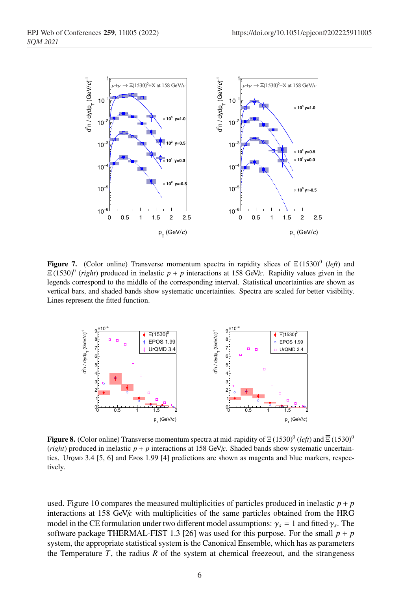

**Figure 7.** (Color online) Transverse momentum spectra in rapidity slices of  $\Xi(1530)^{0}$  (*left*) and  $\overline{\Xi}$  (1530)<sup>0</sup> (*right*) produced in inelastic  $p + p$  interactions at 158 GeV/*c*. Rapidity values given in the legends correspond to the middle of the corresponding interval. Statistical uncertainties are shown as vertical bars, and shaded bands show systematic uncertainties. Spectra are scaled for better visibility. Lines represent the fitted function.



**Figure 8.** (Color online) Transverse momentum spectra at mid-rapidity of  $\Xi$  (1530)<sup>0</sup> (left) and  $\overline{\Xi}$  (1530)<sup>0</sup> (*right*) produced in inelastic  $p + p$  interactions at 158 GeV/*c*. Shaded bands show systematic uncertainties. Uromp 3.4 [5, 6] and Epos 1.99 [4] predictions are shown as magenta and blue markers, respectively.

used. Figure 10 compares the measured multiplicities of particles produced in inelastic  $p + p$ interactions at 158 GeV/*c* with multiplicities of the same particles obtained from the HRG model in the CE formulation under two different model assumptions:  $\gamma_s = 1$  and fitted  $\gamma_s$ . The software package THERMAL-FIST 1.3 [26] was used for this purpose. For the small  $p + p$ system, the appropriate statistical system is the Canonical Ensemble, which has as parameters the Temperature  $T$ , the radius  $R$  of the system at chemical freezeout, and the strangeness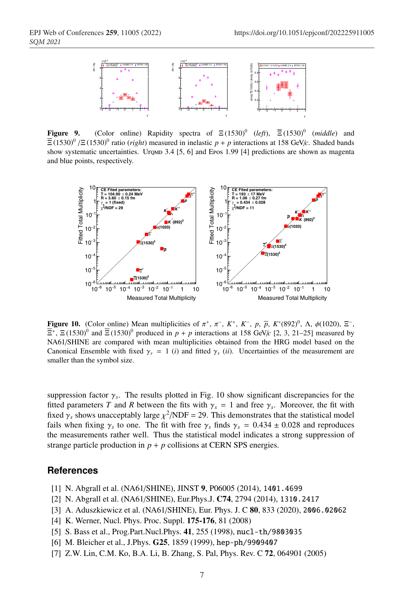

**Figure 9.** (Color online) Rapidity spectra of  $\Xi(1530)^0$  (*left*),  $\overline{\Xi}(1530)^0$  (*middle*) and  $\overline{\Xi}$  (1530)<sup>0</sup> / $\Xi$  (1530)<sup>0</sup> ratio (*right*) measured in inelastic *p* + *p* interactions at 158 GeV/*c*. Shaded bands show systematic uncertainties. Urown 3.4 [5, 6] and Epos 1.99 [4] predictions are shown as magenta and blue points, respectively.



Figure 10. (Color online) Mean multiplicities of  $\pi^+$ ,  $\pi^-$ ,  $K^+$ ,  $K^-$ ,  $p$ ,  $\bar{p}$ ,  $K^*(892)^0$ ,  $\Lambda$ ,  $\phi(1020)$ ,  $\Xi^-$ ,  $\overline{\Xi}^+$ ,  $\Xi$  (1530)<sup>0</sup> and  $\overline{\Xi}$  (1530)<sup>0</sup> produced in  $p + p$  interactions at 158 GeV/*c* [2, 3, 21–25] measured by NA61/SHINE are compared with mean multiplicities obtained from the HRG model based on the Canonical Ensemble with fixed  $\gamma_s = 1$  (*i*) and fitted  $\gamma_s$  (*ii*). Uncertainties of the measurement are smaller than the symbol size.

suppression factor  $\gamma_s$ . The results plotted in Fig. 10 show significant discrepancies for the fitted parameters *T* and *R* between the fits with  $\gamma_s = 1$  and free  $\gamma_s$ . Moreover, the fit with fixed  $\gamma_s$  shows unacceptably large  $\chi^2/NDF = 29$ . This demonstrates that the statistical model fails when fixing  $\gamma_s$  to one. The fit with free  $\gamma_s$  finds  $\gamma_s = 0.434 \pm 0.028$  and reproduces the measurements rather well. Thus the statistical model indicates a strong suppression of strange particle production in  $p + p$  collisions at CERN SPS energies.

#### **References**

- [1] N. Abgrall et al. (NA61/SHINE), JINST 9, P06005 (2014), 1401.4699
- [2] N. Abgrall et al. (NA61/SHINE), Eur.Phys.J. C74, 2794 (2014), 1310.2417
- [3] A. Aduszkiewicz et al. (NA61/SHINE), Eur. Phys. J. C 80, 833 (2020), 2006.02062
- [4] K. Werner, Nucl. Phys. Proc. Suppl. 175-176, 81 (2008)
- [5] S. Bass et al., Prog.Part.Nucl.Phys. 41, 255 (1998), nucl-th/9803035
- [6] M. Bleicher et al., J.Phys. G25, 1859 (1999), hep-ph/9909407
- [7] Z.W. Lin, C.M. Ko, B.A. Li, B. Zhang, S. Pal, Phys. Rev. C 72, 064901 (2005)